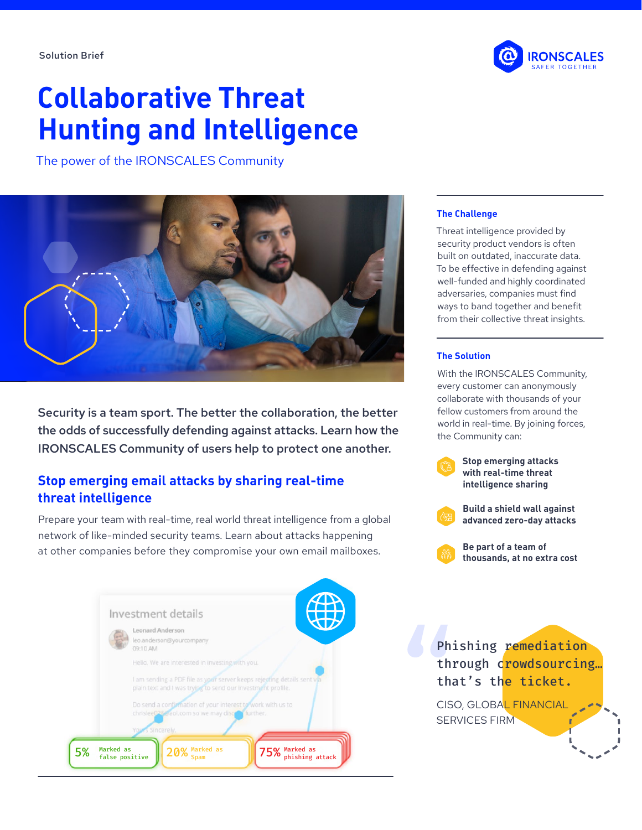# **Collaborative Threat Hunting and Intelligence**

The power of the IRONSCALES Community



Security is a team sport. The better the collaboration, the better the odds of successfully defending against attacks. Learn how the IRONSCALES Community of users help to protect one another.

## **Stop emerging email attacks by sharing real-time threat intelligence**

Prepare your team with real-time, real world threat intelligence from a global network of like-minded security teams. Learn about attacks happening at other companies before they compromise your own email mailboxes.





### **The Challenge**

Threat intelligence provided by security product vendors is often built on outdated, inaccurate data. To be effective in defending against well-funded and highly coordinated adversaries, companies must find ways to band together and benefit from their collective threat insights.

### **The Solution**

With the IRONSCALES Community, every customer can anonymously collaborate with thousands of your fellow customers from around the world in real-time. By joining forces, the Community can:



**Stop emerging attacks with real-time threat intelligence sharing**

**Build a shield wall against advanced zero-day attacks**



**Be part of a team of thousands, at no extra cost**

Phishing remediation through crowdsourcing... that's the ticket.

CISO, GLOBAL FINANCIAL SERVICES FIRM